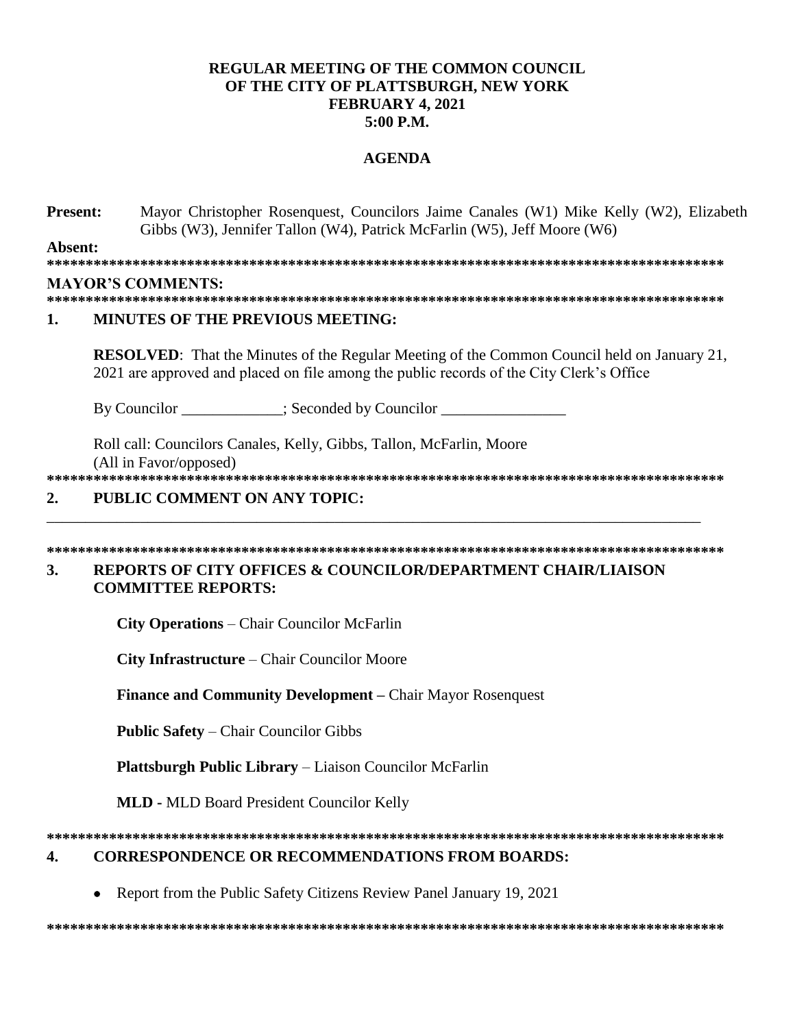# **REGULAR MEETING OF THE COMMON COUNCIL** OF THE CITY OF PLATTSBURGH, NEW YORK FEBRUARY 4, 2021  $5:00$  P.M.

## **AGENDA**

**Present:** Mayor Christopher Rosenquest, Councilors Jaime Canales (W1) Mike Kelly (W2), Elizabeth Gibbs (W3), Jennifer Tallon (W4), Patrick McFarlin (W5), Jeff Moore (W6)

Absent: 

## **MAYOR'S COMMENTS:**

### **MINUTES OF THE PREVIOUS MEETING:**  $\mathbf{1}$ .

**RESOLVED:** That the Minutes of the Regular Meeting of the Common Council held on January 21, 2021 are approved and placed on file among the public records of the City Clerk's Office

By Councilor \_\_\_\_\_\_\_\_\_\_\_; Seconded by Councilor \_\_\_\_\_\_\_\_\_\_\_\_\_\_\_\_\_\_\_\_\_\_\_\_\_\_\_\_\_\_\_\_

Roll call: Councilors Canales, Kelly, Gibbs, Tallon, McFarlin, Moore (All in Favor/opposed)

#### PUBLIC COMMENT ON ANY TOPIC:  $\overline{2}$ .

### **REPORTS OF CITY OFFICES & COUNCILOR/DEPARTMENT CHAIR/LIAISON** 3. **COMMITTEE REPORTS:**

**City Operations** – Chair Councilor McFarlin

City Infrastructure - Chair Councilor Moore

**Finance and Community Development – Chair Mayor Rosenquest** 

**Public Safety – Chair Councilor Gibbs** 

**Plattsburgh Public Library** – Liaison Councilor McFarlin

**MLD - MLD Board President Councilor Kelly** 

#### **CORRESPONDENCE OR RECOMMENDATIONS FROM BOARDS:** 4.

Report from the Public Safety Citizens Review Panel January 19, 2021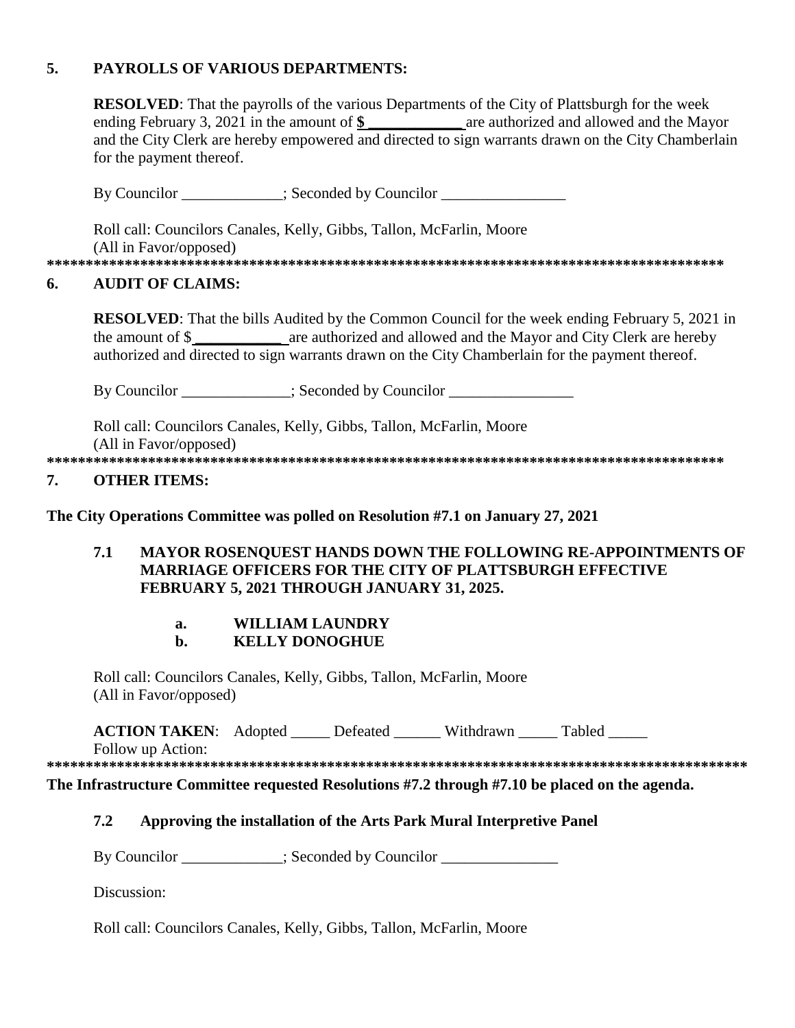### 5. **PAYROLLS OF VARIOUS DEPARTMENTS:**

|    | <b>RESOLVED:</b> That the payrolls of the various Departments of the City of Plattsburgh for the week<br>ending February 3, 2021 in the amount of $\frac{1}{2}$ are authorized and allowed and the Mayor<br>and the City Clerk are hereby empowered and directed to sign warrants drawn on the City Chamberlain |                                                                                                                                                                                                          |  |  |  |  |
|----|-----------------------------------------------------------------------------------------------------------------------------------------------------------------------------------------------------------------------------------------------------------------------------------------------------------------|----------------------------------------------------------------------------------------------------------------------------------------------------------------------------------------------------------|--|--|--|--|
|    | for the payment thereof.                                                                                                                                                                                                                                                                                        |                                                                                                                                                                                                          |  |  |  |  |
|    |                                                                                                                                                                                                                                                                                                                 | By Councilor ____________; Seconded by Councilor _______________________________                                                                                                                         |  |  |  |  |
|    |                                                                                                                                                                                                                                                                                                                 | Roll call: Councilors Canales, Kelly, Gibbs, Tallon, McFarlin, Moore                                                                                                                                     |  |  |  |  |
|    | (All in Favor/opposed)                                                                                                                                                                                                                                                                                          |                                                                                                                                                                                                          |  |  |  |  |
| 6. | <b>AUDIT OF CLAIMS:</b>                                                                                                                                                                                                                                                                                         |                                                                                                                                                                                                          |  |  |  |  |
|    |                                                                                                                                                                                                                                                                                                                 | <b>RESOLVED:</b> That the bills Audited by the Common Council for the week ending February 5, 2021 in<br>authorized and directed to sign warrants drawn on the City Chamberlain for the payment thereof. |  |  |  |  |
|    |                                                                                                                                                                                                                                                                                                                 | By Councilor ____________; Seconded by Councilor _______________________________                                                                                                                         |  |  |  |  |
|    | (All in Favor/opposed)                                                                                                                                                                                                                                                                                          | Roll call: Councilors Canales, Kelly, Gibbs, Tallon, McFarlin, Moore                                                                                                                                     |  |  |  |  |
| 7. | <b>OTHER ITEMS:</b>                                                                                                                                                                                                                                                                                             |                                                                                                                                                                                                          |  |  |  |  |
|    |                                                                                                                                                                                                                                                                                                                 | The City Operations Committee was polled on Resolution #7.1 on January 27, 2021                                                                                                                          |  |  |  |  |

## MAYOR ROSENQUEST HANDS DOWN THE FOLLOWING RE-APPOINTMENTS OF  $7.1$ **MARRIAGE OFFICERS FOR THE CITY OF PLATTSBURGH EFFECTIVE** FEBRUARY 5, 2021 THROUGH JANUARY 31, 2025.

### **WILLIAM LAUNDRY**  $a.$

### **KELLY DONOGHUE**  $\mathbf{b}$ .

Roll call: Councilors Canales, Kelly, Gibbs, Tallon, McFarlin, Moore (All in Favor/opposed)

ACTION TAKEN: Adopted \_\_\_\_\_ Defeated \_\_\_\_\_\_ Withdrawn \_\_\_\_\_ Tabled \_\_\_\_\_

Follow up Action: 

The Infrastructure Committee requested Resolutions #7.2 through #7.10 be placed on the agenda.

### $7.2$ Approving the installation of the Arts Park Mural Interpretive Panel

By Councilor \_\_\_\_\_\_\_\_\_\_; Seconded by Councilor \_\_\_\_\_\_\_\_\_\_\_\_\_\_\_\_\_\_\_\_\_\_\_\_\_\_\_\_\_\_\_\_\_

Discussion:

Roll call: Councilors Canales, Kelly, Gibbs, Tallon, McFarlin, Moore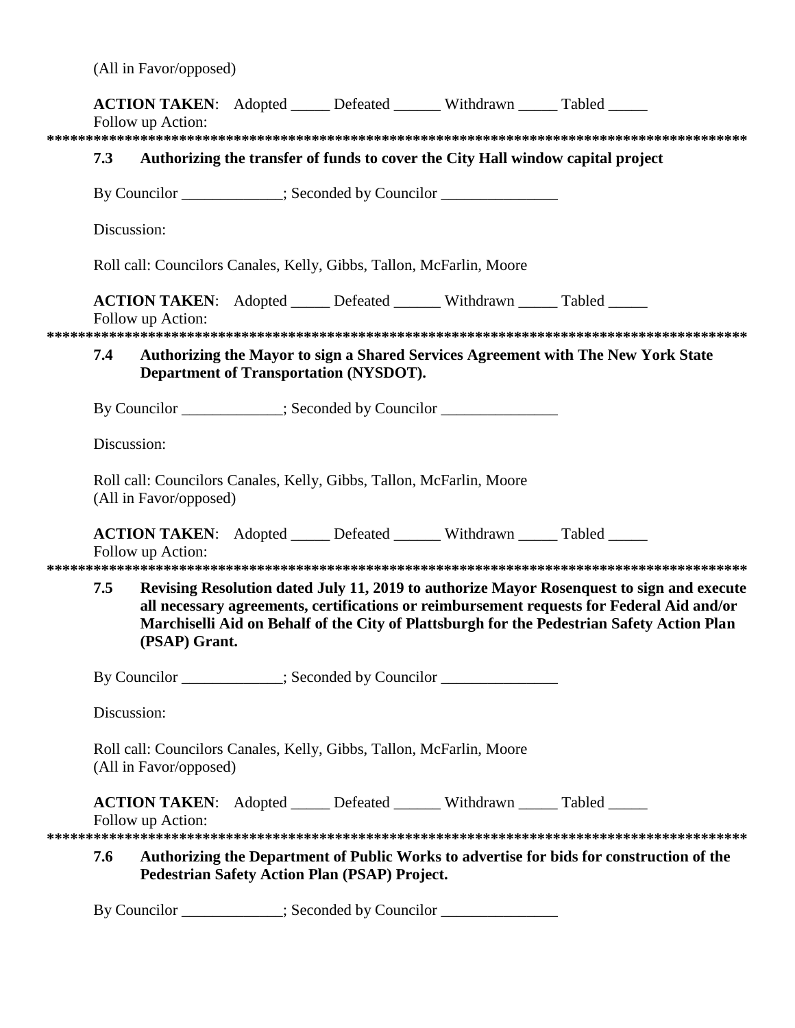|  | (All in Favor/opposed) |  |
|--|------------------------|--|
|  |                        |  |

|             | Follow up Action:                                                   |                                               | <b>ACTION TAKEN:</b> Adopted ______ Defeated _______ Withdrawn _____ Tabled _____ |                                                                                                                                                                                                                                                                                      |
|-------------|---------------------------------------------------------------------|-----------------------------------------------|-----------------------------------------------------------------------------------|--------------------------------------------------------------------------------------------------------------------------------------------------------------------------------------------------------------------------------------------------------------------------------------|
|             |                                                                     |                                               |                                                                                   |                                                                                                                                                                                                                                                                                      |
| 7.3         |                                                                     |                                               |                                                                                   | Authorizing the transfer of funds to cover the City Hall window capital project                                                                                                                                                                                                      |
|             |                                                                     |                                               | By Councilor ____________; Seconded by Councilor _______________                  |                                                                                                                                                                                                                                                                                      |
| Discussion: |                                                                     |                                               |                                                                                   |                                                                                                                                                                                                                                                                                      |
|             |                                                                     |                                               | Roll call: Councilors Canales, Kelly, Gibbs, Tallon, McFarlin, Moore              |                                                                                                                                                                                                                                                                                      |
|             | Follow up Action:                                                   |                                               | <b>ACTION TAKEN:</b> Adopted _____ Defeated ______ Withdrawn _____ Tabled _____   |                                                                                                                                                                                                                                                                                      |
| 7.4         |                                                                     | <b>Department of Transportation (NYSDOT).</b> |                                                                                   | Authorizing the Mayor to sign a Shared Services Agreement with The New York State                                                                                                                                                                                                    |
|             |                                                                     |                                               | By Councilor ___________; Seconded by Councilor _______________                   |                                                                                                                                                                                                                                                                                      |
| Discussion: |                                                                     |                                               |                                                                                   |                                                                                                                                                                                                                                                                                      |
|             | (All in Favor/opposed)                                              |                                               | Roll call: Councilors Canales, Kelly, Gibbs, Tallon, McFarlin, Moore              |                                                                                                                                                                                                                                                                                      |
|             | Follow up Action:                                                   |                                               | ACTION TAKEN: Adopted _____ Defeated ______ Withdrawn _____ Tabled _____          |                                                                                                                                                                                                                                                                                      |
| 7.5         | (PSAP) Grant.                                                       |                                               |                                                                                   | Revising Resolution dated July 11, 2019 to authorize Mayor Rosenquest to sign and execute<br>all necessary agreements, certifications or reimbursement requests for Federal Aid and/or<br>Marchiselli Aid on Behalf of the City of Plattsburgh for the Pedestrian Safety Action Plan |
|             |                                                                     |                                               | By Councilor __________; Seconded by Councilor _______________                    |                                                                                                                                                                                                                                                                                      |
| Discussion: |                                                                     |                                               |                                                                                   |                                                                                                                                                                                                                                                                                      |
|             | (All in Favor/opposed)                                              |                                               | Roll call: Councilors Canales, Kelly, Gibbs, Tallon, McFarlin, Moore              |                                                                                                                                                                                                                                                                                      |
|             | Follow up Action:                                                   |                                               | <b>ACTION TAKEN:</b> Adopted _____ Defeated ______ Withdrawn _____ Tabled _____   |                                                                                                                                                                                                                                                                                      |
| 7.6         |                                                                     | Pedestrian Safety Action Plan (PSAP) Project. |                                                                                   | Authorizing the Department of Public Works to advertise for bids for construction of the                                                                                                                                                                                             |
|             | $\alpha$ and $\alpha$ is the set of $\alpha$ is the set of $\alpha$ |                                               |                                                                                   |                                                                                                                                                                                                                                                                                      |

By Councilor \_\_\_\_\_\_\_\_\_\_; Seconded by Councilor \_\_\_\_\_\_\_\_\_\_\_\_\_\_\_\_\_\_\_\_\_\_\_\_\_\_\_\_\_\_\_\_\_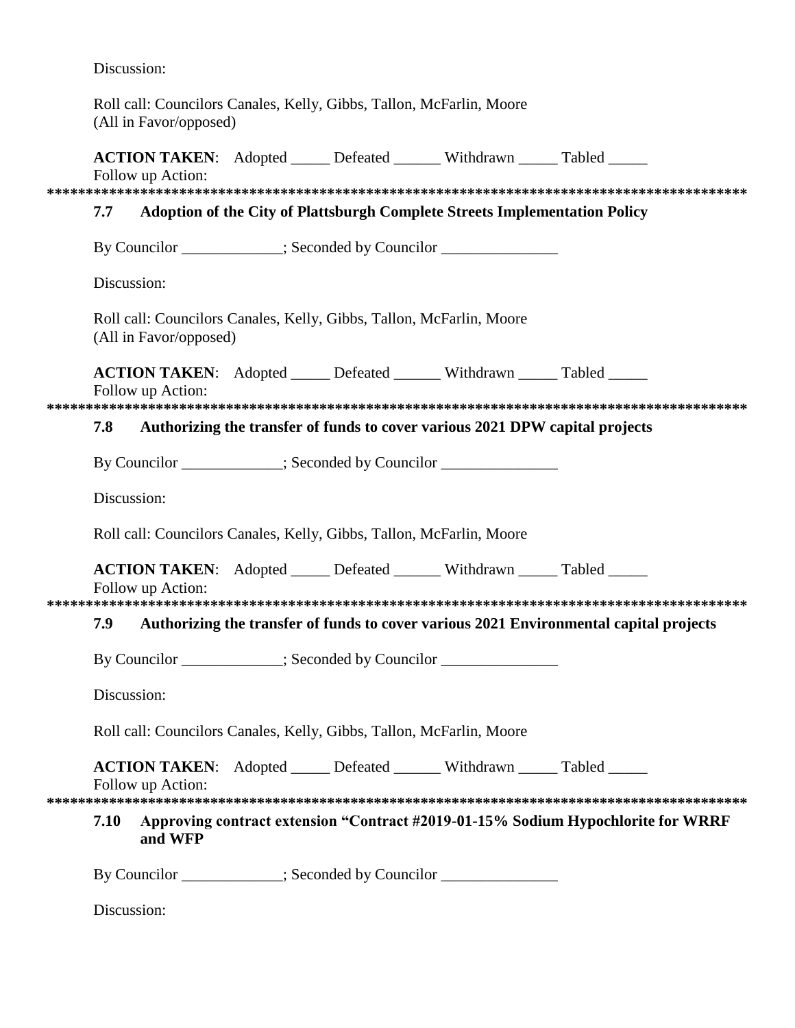Discussion:

Roll call: Councilors Canales, Kelly, Gibbs, Tallon, McFarlin, Moore (All in Favor/opposed)

|             | Follow up Action:      |  | <b>ACTION TAKEN:</b> Adopted _____ Defeated ______ Withdrawn _____ Tabled _____  |                                                                                        |  |
|-------------|------------------------|--|----------------------------------------------------------------------------------|----------------------------------------------------------------------------------------|--|
|             |                        |  |                                                                                  |                                                                                        |  |
| 7.7         |                        |  | Adoption of the City of Plattsburgh Complete Streets Implementation Policy       |                                                                                        |  |
|             |                        |  | By Councilor ____________; Seconded by Councilor _______________________________ |                                                                                        |  |
| Discussion: |                        |  |                                                                                  |                                                                                        |  |
|             | (All in Favor/opposed) |  | Roll call: Councilors Canales, Kelly, Gibbs, Tallon, McFarlin, Moore             |                                                                                        |  |
|             | Follow up Action:      |  | ACTION TAKEN: Adopted _____ Defeated ______ Withdrawn _____ Tabled _____         |                                                                                        |  |
|             |                        |  |                                                                                  |                                                                                        |  |
| 7.8         |                        |  | Authorizing the transfer of funds to cover various 2021 DPW capital projects     |                                                                                        |  |
|             |                        |  | By Councilor ___________; Seconded by Councilor _______________                  |                                                                                        |  |
| Discussion: |                        |  |                                                                                  |                                                                                        |  |
|             |                        |  | Roll call: Councilors Canales, Kelly, Gibbs, Tallon, McFarlin, Moore             |                                                                                        |  |
|             | Follow up Action:      |  | <b>ACTION TAKEN:</b> Adopted _____ Defeated ______ Withdrawn _____ Tabled _____  |                                                                                        |  |
|             |                        |  |                                                                                  |                                                                                        |  |
| 7.9         |                        |  |                                                                                  | Authorizing the transfer of funds to cover various 2021 Environmental capital projects |  |
|             |                        |  | By Councilor ___________; Seconded by Councilor ______________                   |                                                                                        |  |
| Discussion: |                        |  |                                                                                  |                                                                                        |  |
|             |                        |  | Roll call: Councilors Canales, Kelly, Gibbs, Tallon, McFarlin, Moore             |                                                                                        |  |
|             | Follow up Action:      |  | ACTION TAKEN: Adopted _____ Defeated ______ Withdrawn _____ Tabled _____         |                                                                                        |  |
| 7.10        | and WFP                |  |                                                                                  | Approving contract extension "Contract #2019-01-15% Sodium Hypochlorite for WRRF       |  |
|             |                        |  | By Councilor ___________; Seconded by Councilor _______________                  |                                                                                        |  |
| Discussion: |                        |  |                                                                                  |                                                                                        |  |